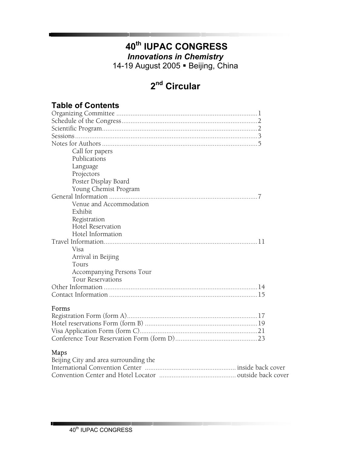# **40th IUPAC CONGRESS**

*Innovations in Chemistry* 

14-19 August 2005 · Beijing, China

# **2nd Circular**

| <b>Table of Contents</b>  |
|---------------------------|
|                           |
|                           |
|                           |
|                           |
|                           |
| Call for papers           |
| Publications              |
| Language                  |
| Projectors                |
| Poster Display Board      |
| Young Chemist Program     |
|                           |
| Venue and Accommodation   |
| Exhibit                   |
| Registration              |
| Hotel Reservation         |
| Hotel Information         |
|                           |
| Visa                      |
| Arrival in Beijing        |
| Tours                     |
| Accompanying Persons Tour |
| <b>Tour Reservations</b>  |
| 14                        |
|                           |
|                           |

#### Forms

## Maps

| Beijing City and area surrounding the |  |
|---------------------------------------|--|
|                                       |  |
|                                       |  |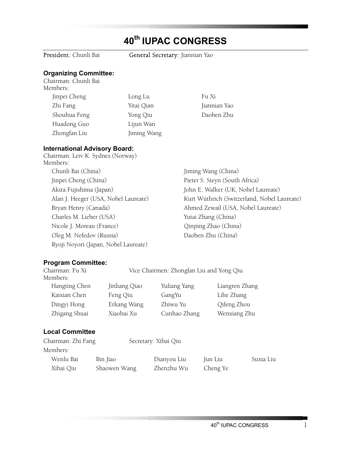# **40th IUPAC CONGRESS**

President: Chunli Bai **General Secretary**: Jiannian Yao

## **Organizing Committee:**

Chairman: Chunli Bai Members: Jinpei Cheng Long Lu Fu Xi Zhi Fang Yitai Qian Jiannian Yao Shouhua Feng Yong Qiu Daoben Zhu Huadong Guo Lijun Wan Zhongfan Liu Jiming Wang

#### **International Advisory Board:**

Chairman: Leiv K. Sydnes (Norway) Members: Chunli Bai (China) Jiming Wang (China) Jinpei Cheng (China) Pieter S. Steyn (South Africa) Charles M. Lieber (USA) Yutai Zhang (China) Nicole J. Moreau (France) Qinping Zhao (China) Oleg M. Nefedov (Russia) Daoben Zhu (China) Ryoji Noyori (Japan, Nobel Laureate)

Akira Fujishima (Japan) John E. Walker (UK, Nobel Laureate) Alan J. Heeger (USA, Nobel Laureate) Kurt Wüthrich (Switzerland, Nobel Laureate) Bryan Henry (Canada) Ahmed Zewail (USA, Nobel Laureate)

#### **Program Committee:**

| Jinliang Qiao          | Yuliang Yang |                      | Liangren Zhang                                           |
|------------------------|--------------|----------------------|----------------------------------------------------------|
| Feng Qiu               | GangYu       | Lihe Zhang           |                                                          |
| Erkang Wang            | Zhiwu Yu     | Qifeng Zhou          |                                                          |
| Xiaobai Xu             |              |                      | Wenxiang Zhu                                             |
| <b>Local Committee</b> |              |                      |                                                          |
| Chairman: Zhi Fang     |              |                      |                                                          |
|                        |              |                      |                                                          |
| Bin Jiao               | Dianyou Liu  | Jun Liu              | Suxia Liu                                                |
|                        |              | Secretary: Xibai Qiu | Vice Chairmen: Zhongfan Liu and Yong Qiu<br>Cunhao Zhang |

Xibai Qiu Shaowen Wang Zhenzhu Wu Cheng Ye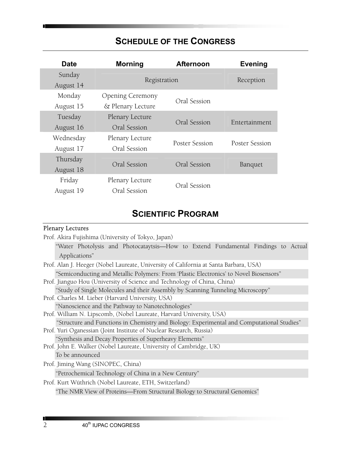## **SCHEDULE OF THE CONGRESS**

| <b>Date</b> | <b>Morning</b>          | <b>Afternoon</b> | <b>Evening</b> |
|-------------|-------------------------|------------------|----------------|
| Sunday      | Registration            |                  |                |
| August 14   |                         |                  | Reception      |
| Monday      | <b>Opening Ceremony</b> |                  |                |
| August 15   | & Plenary Lecture       | Oral Session     |                |
| Tuesday     | Plenary Lecture         |                  |                |
| August 16   | Oral Session            | Oral Session     | Entertainment  |
| Wednesday   | Plenary Lecture         |                  |                |
| August 17   | Oral Session            | Poster Session   | Poster Session |
| Thursday    |                         |                  |                |
| August 18   | Oral Session            | Oral Session     | <b>Banquet</b> |
| Friday      | Plenary Lecture         |                  |                |
| August 19   | Oral Session            | Oral Session     |                |

## **SCIENTIFIC PROGRAM**

## Plenary Lectures

| Prof. Akira Fujishima (University of Tokyo, Japan)                                         |
|--------------------------------------------------------------------------------------------|
| "Water Photolysis and Photocataytsis—How to Extend Fundamental Findings to Actual          |
| Applications"                                                                              |
| Prof. Alan J. Heeger (Nobel Laureate, University of California at Santa Barbara, USA)      |
| "Semiconducting and Metallic Polymers: From 'Plastic Electronics' to Novel Biosensors"     |
| Prof. Jianguo Hou (University of Science and Technology of China, China)                   |
| "Study of Single Molecules and their Assembly by Scanning Tunneling Microscopy"            |
| Prof. Charles M. Lieber (Harvard University, USA)                                          |
| "Nanoscience and the Pathway to Nanotechnologies"                                          |
| Prof. William N. Lipscomb, (Nobel Laureate, Harvard University, USA)                       |
| "Structure and Functions in Chemistry and Biology: Experimental and Computational Studies" |
| Prof. Yuri Oganessian (Joint Institute of Nuclear Research, Russia)                        |
| "Synthesis and Decay Properties of Superheavy Elements"                                    |
| Prof. John E. Walker (Nobel Laureate, University of Cambridge, UK)                         |
| To be announced                                                                            |
| Prof. Jiming Wang (SINOPEC, China)                                                         |
| "Petrochemical Technology of China in a New Century"                                       |
| Prof. Kurt Wüthrich (Nobel Laureate, ETH, Switzerland)                                     |
| "The NMR View of Proteins—From Structural Biology to Structural Genomics"                  |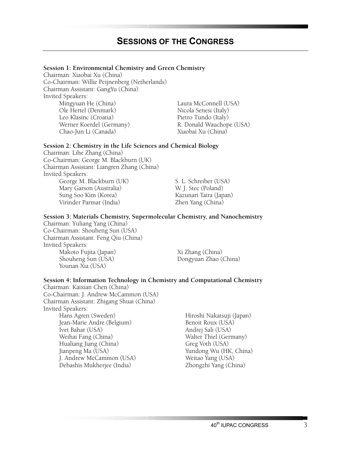#### **Session 1: Environmental Chemistry and Green Chemistry**

Chairman: Xiaobai Xu (China) Co-Chairman: Willie Peijnenberg (Netherlands) Chairman Assistant: GangYu (China) Invited Speakers: Mingyuan He (China) Laura McConnell (USA)<br>
Ole Hertel (Denmark) Nicola Senesi (Italy) Ole Hertel (Denmark) Nicola Senesi (Italy)<br>Leo Klasinc (Croatia) Nicola Senesi (Italy) Werner Koerdel (Germany) Chao-Jun Li (Canada) Xiaobai Xu (China)

Pietro Tundo (Italy)<br>R. Donald Wauchope (USA)

#### **Session 2: Chemistry in the Life Sciences and Chemical Biology**

Chairman: Lihe Zhang (China) Co-Chairman: George M. Blackburn (UK) Chairman Assistant: Liangren Zhang (China) Invited Speakers: George M. Blackburn (UK) S. L. Schreiber (USA) Mary Garson (Australia) W. J. Stec (Poland) Sung Soo Kim (Korea) Kazunari Taira (Japan) Virinder Parmar (India)

#### **Session 3: Materials Chemistry, Supermolecular Chemistry, and Nanochemistry**

Chairman: Yuliang Yang (China) Co-Chairman: Shouheng Sun (USA) Chairman Assistant: Feng Qiu (China) Invited Speakers: Makoto Fujita (Japan) Xi Zhang (China) Shouheng Sun (USA) Dongyuan Zhao (China) Younan Xia (USA)

#### **Session 4: Information Technology in Chemistry and Computational Chemistry**

Chairman: Kaixian Chen (China) Co-Chairman: J. Andrew McCammon (USA) Chairman Assistant: Zhigang Shuai (China) Invited Speakers:

Jean-Marie Andre (Belgium) Benoit Roux (USA)<br>Ivet Bahar (USA) Andrej Sali (USA) Weihai Fang (China) Walter Thiel (Germany)<br>Hualiang Jiang (China) Greg Voth (USA) Hualiang Jiang (China)<br>Jianpeng Ma (USA) J. Andrew McCammon (USA) Debashis Mukherjee (India) Zhongzhi Yang (China)

Hiroshi Nakatsuji (Japan) Andrej Sali (USA) Yundong Wu (HK, China)<br>Weitao Yang (USA)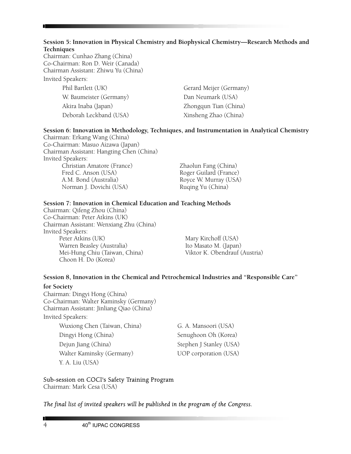#### **Session 5: Innovation in Physical Chemistry and Biophysical Chemistry—Research Methods and Techniques**

Chairman: Cunhao Zhang (China) Co-Chairman: Ron D. Weir (Canada) Chairman Assistant: Zhiwu Yu (China) Invited Speakers:

> W. Baumeister (Germany) Dan Neumark (USA) Akira Inaba (Japan) Zhongqun Tian (China) Deborah Leckband (USA) Xinsheng Zhao (China)

Phil Bartlett (UK) Gerard Meijer (Germany)

#### **Session 6: Innovation in Methodology, Techniques, and Instrumentation in Analytical Chemistry**

Chairman: Erkang Wang (China) Co-Chairman: Masuo Aizawa (Japan) Chairman Assistant: Hangting Chen (China) Invited Speakers: Christian Amatore (France) Zhaolun Fang (China) Fred C. Anson (USA) Roger Guilard (France)<br>A.M. Bond (Australia) Royce W. Murray (USA) Norman J. Dovichi (USA)

Royce W. Murray (USA)<br>Ruqing Yu (China)

#### **Session 7: Innovation in Chemical Education and Teaching Methods**

Chairman: Qifeng Zhou (China) Co-Chairman: Peter Atkins (UK) Chairman Assistant: Wenxiang Zhu (China) Invited Speakers:<br>Peter Atkins (UK) Warren Beasley (Australia) Ito Masato M. (Japan) Mei-Hung Chiu (Taiwan, China) Choon H. Do (Korea)

Mary Kirchoff (USA)<br>Ito Masato M. (Japan)

## **Session 8, Innovation in the Chemical and Petrochemical Industries and "Responsible Care"**

**for Society**  Chairman: Dingyi Hong (China) Co-Chairman: Walter Kaminsky (Germany) Chairman Assistant: Jinliang Qiao (China) Invited Speakers:

Wuxiong Chen (Taiwan, China) G. A. Mansoori (USA) Dingyi Hong (China) Senughoon Oh (Korea) Dejun Jiang (China) Stephen J Stanley (USA) Walter Kaminsky (Germany) UOP corporation (USA) Y. A. Liu (USA)

### Sub-session on COCI's Safety Training Program

Chairman: Mark Cesa (USA)

#### *The final list of invited speakers will be published in the program of the Congress.*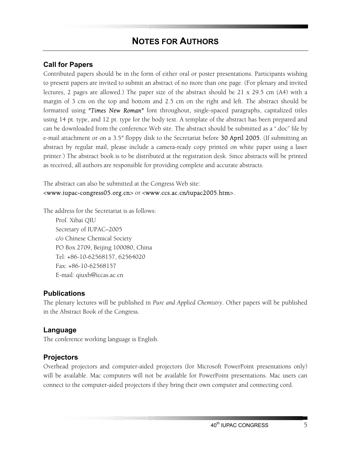## **NOTES FOR AUTHORS**

#### **Call for Papers**

Contributed papers should be in the form of either oral or poster presentations. Participants wishing to present papers are invited to submit an abstract of no more than one page. (For plenary and invited lectures, 2 pages are allowed.) The paper size of the abstract should be 21 x 29.5 cm (A4) with a margin of 3 cm on the top and bottom and 2.5 cm on the right and left. The abstract should be formatted using *"Times New Roman"* font throughout, single-spaced paragraphs, capitalized titles using 14 pt. type, and 12 pt. type for the body text. A template of the abstract has been prepared and can be downloaded from the conference Web site. The abstract should be submitted as a ".doc" file by e-mail attachment or on a 3.5*"* floppy disk to the Secretariat before 30 April 2005*.* (If submitting an abstract by regular mail, please include a camera-ready copy printed on white paper using a laser printer.) The abstract book is to be distributed at the registration desk. Since abstracts will be printed as received, all authors are responsible for providing complete and accurate abstracts.

The abstract can also be submitted at the Congress Web site: <www.iupac-congress05.org.cn> or <www.ccs.ac.cn/iupac2005.htm>.

The address for the Secretariat is as follows:

Prof. Xibai QIU Secretary of IUPAC–2005 c/o Chinese Chemical Society PO Box 2709, Beijing 100080, China Tel: +86-10-62568157, 62564020 Fax: +86-10-62568157 E-mail: qiuxb@iccas.ac.cn

#### **Publications**

The plenary lectures will be published in *Pure and Applied Chemistry*. Other papers will be published in the Abstract Book of the Congress.

#### **Language**

The conference working language is English.

#### **Projectors**

Overhead projectors and computer-aided projectors (for Microsoft PowerPoint presentations only) will be available. Mac computers will not be available for PowerPoint presentations. Mac users can connect to the computer-aided projectors if they bring their own computer and connecting cord.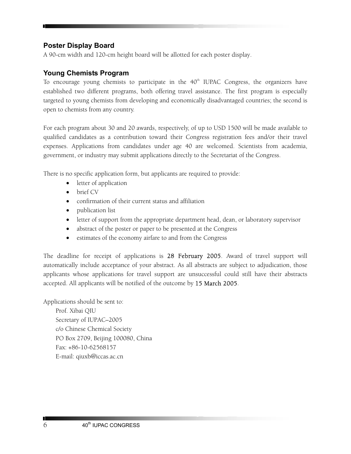## **Poster Display Board**

A 90-cm width and 120-cm height board will be allotted for each poster display.

## **Young Chemists Program**

To encourage young chemists to participate in the  $40<sup>th</sup>$  IUPAC Congress, the organizers have established two different programs, both offering travel assistance. The first program is especially targeted to young chemists from developing and economically disadvantaged countries; the second is open to chemists from any country.

For each program about 30 and 20 awards, respectively, of up to USD 1500 will be made available to qualified candidates as a contribution toward their Congress registration fees and/or their travel expenses. Applications from candidates under age 40 are welcomed. Scientists from academia, government, or industry may submit applications directly to the Secretariat of the Congress.

There is no specific application form, but applicants are required to provide:

- letter of application
- brief CV
- confirmation of their current status and affiliation
- publication list
- letter of support from the appropriate department head, dean, or laboratory supervisor
- abstract of the poster or paper to be presented at the Congress
- estimates of the economy airfare to and from the Congress

The deadline for receipt of applications is 28 February 2005. Award of travel support will automatically include acceptance of your abstract. As all abstracts are subject to adjudication, those applicants whose applications for travel support are unsuccessful could still have their abstracts accepted. All applicants will be notified of the outcome by 15 March 2005.

Applications should be sent to:

Prof. Xibai QIU Secretary of IUPAC–2005 c/o Chinese Chemical Society PO Box 2709, Beijing 100080, China Fax: +86-10-62568157 E-mail: qiuxb@iccas.ac.cn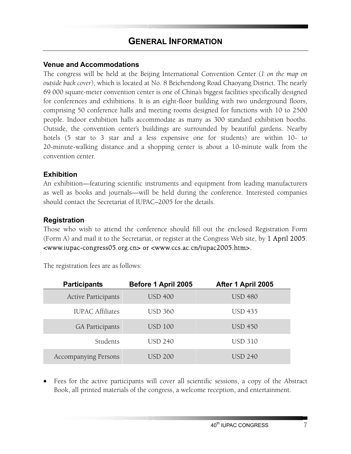#### **Venue and Accommodations**

The congress will be held at the Beijing International Convention Center (*1 on the map on outside back cover*), which is located at No. 8 Beichendong Road Chaoyang District. The nearly 69 000 square-meter convention center is one of China's biggest facilities specifically designed for conferences and exhibitions. It is an eight-floor building with two underground floors, comprising 50 conference halls and meeting rooms designed for functions with 10 to 2500 people. Indoor exhibition halls accommodate as many as 300 standard exhibition booths. Outside, the convention center's buildings are surrounded by beautiful gardens. Nearby hotels (5 star to 3 star and a less expensive one for students) are within 10- to 20-minute-walking distance and a shopping center is about a 10-minute walk from the convention center.

## **Exhibition**

An exhibition—featuring scientific instruments and equipment from leading manufacturers as well as books and journals—will be held during the conference. Interested companies should contact the Secretariat of IUPAC–2005 for the details.

#### **Registration**

Those who wish to attend the conference should fill out the enclosed Registration Form (Form A) and mail it to the Secretariat, or register at the Congress Web site, by 1 April 2005. <www.iupac-congress05.org.cn> or <www.ccs.ac.cn/iupac2005.htm>.

The registration fees are as follows:

| <b>Participants</b>         | Before 1 April 2005 | After 1 April 2005 |
|-----------------------------|---------------------|--------------------|
| <b>Active Participants</b>  | <b>USD 400</b>      | <b>USD 480</b>     |
| <b>IUPAC Affiliates</b>     | <b>USD 360</b>      | <b>USD 435</b>     |
| <b>GA Participants</b>      | <b>USD 100</b>      | <b>USD 450</b>     |
| Students                    | <b>USD 240</b>      | <b>USD 310</b>     |
| <b>Accompanying Persons</b> | <b>USD 200</b>      | USD 240            |

• Fees for the active participants will cover all scientific sessions, a copy of the Abstract Book, all printed materials of the congress, a welcome reception, and entertainment.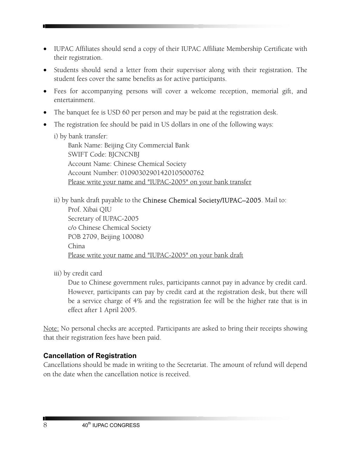- IUPAC Affiliates should send a copy of their IUPAC Affiliate Membership Certificate with their registration.
- Students should send a letter from their supervisor along with their registration. The student fees cover the same benefits as for active participants.
- Fees for accompanying persons will cover a welcome reception, memorial gift, and entertainment.
- The banquet fee is USD 60 per person and may be paid at the registration desk.
- The registration fee should be paid in US dollars in one of the following ways:
	- i) by bank transfer:

Bank Name: Beijing City Commercial Bank SWIFT Code: BJCNCNBJ Account Name: Chinese Chemical Society Account Number: 01090302901420105000762 Please write your name and "IUPAC-2005" on your bank transfer

ii) by bank draft payable to the Chinese Chemical Society/IUPAC–2005. Mail to: Prof. Xibai QIU Secretary of IUPAC-2005 c/o Chinese Chemical Society POB 2709, Beijing 100080 China Please write your name and "IUPAC-2005" on your bank draft

iii) by credit card

Due to Chinese government rules, participants cannot pay in advance by credit card. However, participants can pay by credit card at the registration desk, but there will be a service charge of 4% and the registration fee will be the higher rate that is in effect after 1 April 2005.

Note: No personal checks are accepted. Participants are asked to bring their receipts showing that their registration fees have been paid.

## **Cancellation of Registration**

Cancellations should be made in writing to the Secretariat. The amount of refund will depend on the date when the cancellation notice is received.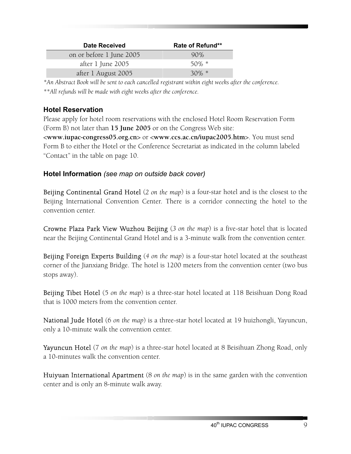| <b>Date Received</b>     | Rate of Refund** |
|--------------------------|------------------|
| on or before 1 June 2005 | 90%              |
| after 1 June 2005        | $50\%$ *         |
| after 1 August 2005      | $30\%$ *         |

*\*An Abstract Book will be sent to each cancelled registrant within eight weeks after the conference. \*\*All refunds will be made with eight weeks after the conference.*

## **Hotel Reservation**

Please apply for hotel room reservations with the enclosed Hotel Room Reservation Form (Form B) not later than **15 June 2005** or on the Congress Web site:

<**www.iupac-congress05.org.cn**> or <**www.ccs.ac.cn/iupac2005.htm**>. You must send Form B to either the Hotel or the Conference Secretariat as indicated in the column labeled "Contact" in the table on page 10.

## **Hotel Information** *(see map on outside back cover)*

Beijing Continental Grand Hotel (*2 on the map*) is a four-star hotel and is the closest to the Beijing International Convention Center. There is a corridor connecting the hotel to the convention center.

Crowne Plaza Park View Wuzhou Beijing (*3 on the map*) is a five-star hotel that is located near the Beijing Continental Grand Hotel and is a 3-minute walk from the convention center.

Beijing Foreign Experts Building (*4 on the map*) is a four-star hotel located at the southeast corner of the Jianxiang Bridge. The hotel is 1200 meters from the convention center (two bus stops away).

Beijing Tibet Hotel (5 *on the map*) is a three-star hotel located at 118 Beisihuan Dong Road that is 1000 meters from the convention center.

National Jude Hotel (6 *on the map*) is a three-star hotel located at 19 huizhongli, Yayuncun, only a 10-minute walk the convention center.

Yayuncun Hotel (7 *on the map*) is a three-star hotel located at 8 Beisihuan Zhong Road, only a 10-minutes walk the convention center.

Huiyuan International Apartment (8 *on the map*) is in the same garden with the convention center and is only an 8-minute walk away.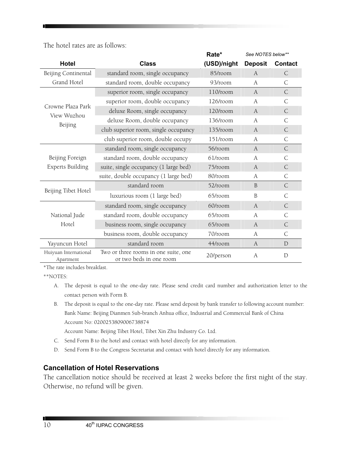The hotel rates are as follows:

|                                    |                                                                 | Rate*       | See NOTES below** |                |
|------------------------------------|-----------------------------------------------------------------|-------------|-------------------|----------------|
| <b>Hotel</b>                       | <b>Class</b>                                                    | (USD)/night | <b>Deposit</b>    | <b>Contact</b> |
| Beijing Continental                | standard room, single occupancy                                 | 85/room     | $\overline{A}$    | C              |
| Grand Hotel                        | standard room, double occupancy                                 | 93/room     | A                 | $\mathsf{C}$   |
|                                    | superior room, single occupancy                                 | $110$ /room | A                 | $\mathsf{C}$   |
| Crowne Plaza Park                  | superior room, double occupancy                                 | 126/room    | A                 | C              |
| View Wuzhou                        | deluxe Room, single occupancy                                   | 120/room    | $\boldsymbol{A}$  | C              |
|                                    | deluxe Room, double occupancy                                   | 136/room    | A                 | C              |
| Beijing                            | club superior room, single occupancy                            | 135/room    | $\overline{A}$    | C              |
|                                    | club superior room, double occupy                               | 151/room    | A                 | $\mathsf{C}$   |
|                                    | standard room, single occupancy                                 | 56/room     | $\mathbf{A}$      | $\mathsf{C}$   |
| Beijing Foreign                    | standard room, double occupancy                                 | $61$ /room  | A                 | С              |
| <b>Experts Building</b>            | suite, single occupancy (1 large bed)                           | 75/room     | A                 | $\mathsf{C}$   |
|                                    | suite, double occupancy (1 large bed)                           | 80/room     | A                 | C              |
|                                    | standard room                                                   | 52/room     | B                 | $\mathsf{C}$   |
| Beijing Tibet Hotel                | luxurious room (1 large bed)                                    | 65/room     | B                 | $\mathsf{C}$   |
|                                    | standard room, single occupancy                                 | 60/room     | $\boldsymbol{A}$  | $\mathsf{C}$   |
| National Jude                      | standard room, double occupancy                                 | 65/room     | $\boldsymbol{A}$  | С              |
| Hotel                              | business room, single occupancy                                 | 65/room     | A                 | $\mathsf{C}$   |
|                                    | business room, double occupancy                                 | 70/room     | A                 | C              |
| Yayuncun Hotel                     | standard room                                                   | 44/room     | A                 | D              |
| Huiyuan International<br>Apartment | Two or three rooms in one suite, one<br>or two beds in one room | 20/person   | $\boldsymbol{A}$  | $\mathbf D$    |

\*The rate includes breakfast.

\*\*NOTES:

- A. The deposit is equal to the one-day rate. Please send credit card number and authorization letter to the contact person with Form B.
- B. The deposit is equal to the one-day rate. Please send deposit by bank transfer to following account number: Bank Name: Beijing Dianmen Sub-branch Anhua office, Industrial and Commercial Bank of China Account No: 0200253809006738874

Account Name: Beijing Tibet Hotel, Tibet Xin Zhu Industry Co. Ltd.

- C. Send Form B to the hotel and contact with hotel directly for any information.
- D. Send Form B to the Congress Secretariat and contact with hotel directly for any information.

## **Cancellation of Hotel Reservations**

The cancellation notice should be received at least 2 weeks before the first night of the stay. Otherwise, no refund will be given.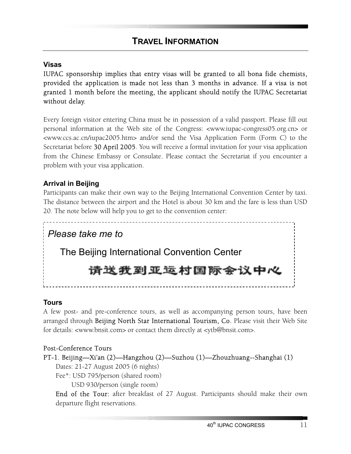## **Visas**

IUPAC sponsorship implies that entry visas will be granted to all bona fide chemists, provided the application is made not less than 3 months in advance. If a visa is not granted 1 month before the meeting, the applicant should notify the IUPAC Secretariat without delay.

Every foreign visitor entering China must be in possession of a valid passport. Please fill out personal information at the Web site of the Congress: <www.iupac-congress05.org.cn> or <www.ccs.ac.cn/iupac2005.htm> and/or send the Visa Application Form (Form C) to the Secretariat before 30 April 2005. You will receive a formal invitation for your visa application from the Chinese Embassy or Consulate. Please contact the Secretariat if you encounter a problem with your visa application.

## **Arrival in Beijing**

Participants can make their own way to the Beijing International Convention Center by taxi. The distance between the airport and the Hotel is about 30 km and the fare is less than USD 20. The note below will help you to get to the convention center:

*Please take me to*  The Beijing International Convention Center 请送我到亚运村国际会议中心

## **Tours**

A few post- and pre-conference tours, as well as accompanying person tours, have been arranged through Beijing North Star International Tourism, Co. Please visit their Web Site for details: <www.bnsit.com> or contact them directly at <ytb@bnsit.com>.

## Post-Conference Tours

## PT-1. Beijing—Xi'an (2)—Hangzhou (2)—Suzhou (1)—Zhouzhuang--Shanghai (1)

Dates: 21-27 August 2005 (6 nights)

Fee\*: USD 795/person (shared room) USD 930/person (single room)

End of the Tour: after breakfast of 27 August. Participants should make their own departure flight reservations.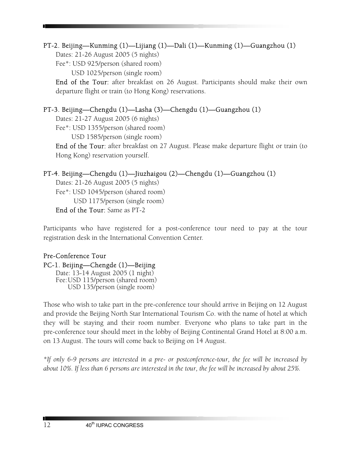## PT-2. Beijing—Kunming (1)—Lijiang (1)—Dali (1)—Kunming (1)—Guangzhou (1)

Dates: 21-26 August 2005 (5 nights)

Fee\*: USD 925/person (shared room)

USD 1025/person (single room)

End of the Tour: after breakfast on 26 August. Participants should make their own departure flight or train (to Hong Kong) reservations.

## PT-3. Beijing—Chengdu (1)—Lasha (3)—Chengdu (1)—Guangzhou (1)

Dates: 21-27 August 2005 (6 nights)

Fee\*: USD 1355/person (shared room)

USD 1585/person (single room)

End of the Tour: after breakfast on 27 August. Please make departure flight or train (to Hong Kong) reservation yourself.

## PT-4. Beijing—Chengdu (1)—Jiuzhaigou (2)—Chengdu (1)—Guangzhou (1)

Dates: 21-26 August 2005 (5 nights) Fee\*: USD 1045/person (shared room) USD 1175/person (single room) End of the Tour: Same as PT-2

Participants who have registered for a post-conference tour need to pay at the tour registration desk in the International Convention Center.

#### Pre-Conference Tour PC-1. Beijing—Chengde (1)—Beijing Date: 13-14 August 2005 (1 night) Fee: USD 115/person (shared room) USD 135/person (single room)

Those who wish to take part in the pre-conference tour should arrive in Beijing on 12 August and provide the Beijing North Star International Tourism Co. with the name of hotel at which they will be staying and their room number. Everyone who plans to take part in the pre-conference tour should meet in the lobby of Beijing Continental Grand Hotel at 8:00 a.m. on 13 August. The tours will come back to Beijing on 14 August.

*\*If only 6-9 persons are interested in a pre- or postconference-tour, the fee will be increased by about 10%. If less than 6 persons are interested in the tour, the fee will be increased by about 25%.*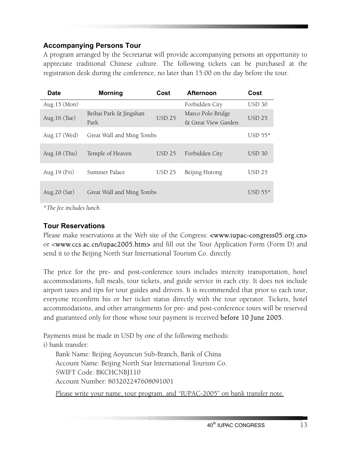## **Accompanying Persons Tour**

A program arranged by the Secretariat will provide accompanying persons an opportunity to appreciate traditional Chinese culture. The following tickets can be purchased at the registration desk during the conference, no later than 15:00 on the day before the tour.

| <b>Date</b>     | <b>Morning</b>            | Cost          | <b>Afternoon</b>    | Cost          |
|-----------------|---------------------------|---------------|---------------------|---------------|
| Aug.15 (Mon)    |                           |               | Forbidden City      | <b>USD 30</b> |
| Aug. 16 (Tue)   | Beihai Park & Jingshan    | <b>USD 25</b> | Marco Polo Bridge   | <b>USD 25</b> |
|                 | Park                      |               | & Great View Garden |               |
| Aug.17 (Wed)    | Great Wall and Ming Tombs |               |                     | $USD 55*$     |
| Aug. $18$ (Thu) | Temple of Heaven          | <b>USD 25</b> | Forbidden City      | <b>USD 30</b> |
|                 |                           |               |                     |               |
| Aug. 19 (Fri)   | Summer Palace             | <b>USD 25</b> | Beijing Hutong      | <b>USD 25</b> |
| Aug. 20 (Sat)   | Great Wall and Ming Tombs |               |                     | $USD 55*$     |
|                 |                           |               |                     |               |

\**The fee includes lunch.* 

## **Tour Reservations**

Please make reservations at the Web site of the Congress: <www.iupac-congress05.org.cn> or <www.ccs.ac.cn/iupac2005.htm> and fill out the Tour Application Form (Form D) and send it to the Beijing North Star International Tourism Co. directly.

The price for the pre- and post-conference tours includes intercity transportation, hotel accommodations, full meals, tour tickets, and guide service in each city. It does not include airport taxes and tips for tour guides and drivers. It is recommended that prior to each tour, everyone reconfirm his or her ticket status directly with the tour operator. Tickets, hotel accommodations, and other arrangements for pre- and post-conference tours will be reserved and guaranteed only for those whose tour payment is received **before 10 June 2005.** 

Payments must be made in USD by one of the following methods:

i) bank transfer:

Bank Name: Beijing Aoyuncun Sub-Branch, Bank of China Account Name: Beijing North Star International Tourism Co. SWIFT Code: BKCHCNBJ110 Account Number: 803202247608091001

Please write your name, tour program, and "IUPAC-2005" on bank transfer note.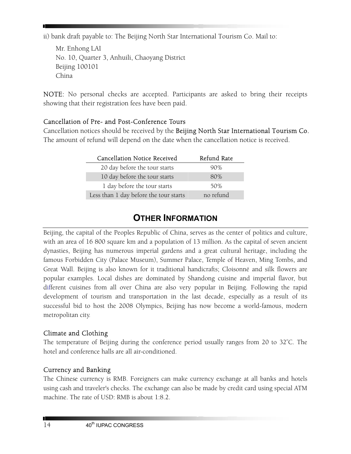ii) bank draft payable to: The Beijing North Star International Tourism Co. Mail to:

Mr. Enhong LAI No. 10, Quarter 3, Anhuili, Chaoyang District Beijing 100101 China

NOTE: No personal checks are accepted. Participants are asked to bring their receipts showing that their registration fees have been paid.

## Cancellation of Pre- and Post-Conference Tours

Cancellation notices should be received by the Beijing North Star International Tourism Co. The amount of refund will depend on the date when the cancellation notice is received.

| <b>Cancellation Notice Received</b>    | Refund Rate |
|----------------------------------------|-------------|
| 20 day before the tour starts          | 90%         |
| 10 day before the tour starts          | 80%         |
| 1 day before the tour starts           | 50%         |
| Less than 1 day before the tour starts | no refund   |

## **OTHER INFORMATION**

Beijing, the capital of the Peoples Republic of China, serves as the center of politics and culture, with an area of 16 800 square km and a population of 13 million. As the capital of seven ancient dynasties, Beijing has numerous imperial gardens and a great cultural heritage, including the famous Forbidden City (Palace Museum), Summer Palace, Temple of Heaven, Ming Tombs, and Great Wall. Beijing is also known for it traditional handicrafts; Cloisonné and silk flowers are popular examples. Local dishes are dominated by Shandong cuisine and imperial flavor, but different cuisines from all over China are also very popular in Beijing. Following the rapid development of tourism and transportation in the last decade, especially as a result of its successful bid to host the 2008 Olympics, Beijing has now become a world-famous, modern metropolitan city.

## Climate and Clothing

The temperature of Beijing during the conference period usually ranges from 20 to 32°C. The hotel and conference halls are all air-conditioned.

## Currency and Banking

The Chinese currency is RMB. Foreigners can make currency exchange at all banks and hotels using cash and traveler's checks. The exchange can also be made by credit card using special ATM machine. The rate of USD: RMB is about 1:8.2.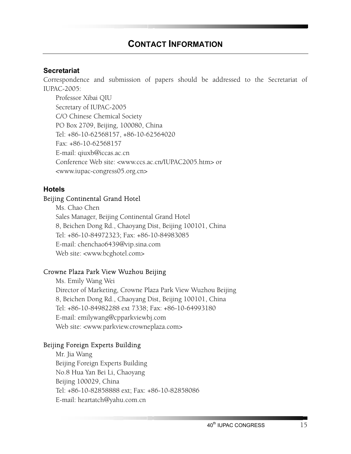#### **Secretariat**

Correspondence and submission of papers should be addressed to the Secretariat of IUPAC-2005:

Professor Xibai QIU Secretary of IUPAC-2005 C/O Chinese Chemical Society PO Box 2709, Beijing, 100080, China Tel: +86-10-62568157, +86-10-62564020 Fax: +86-10-62568157 E-mail: qiuxb@iccas.ac.cn Conference Web site: <www.ccs.ac.cn/IUPAC2005.htm> or <www.iupac-congress05.org.cn>

#### **Hotels**

#### Beijing Continental Grand Hotel

Ms. Chao Chen Sales Manager, Beijing Continental Grand Hotel 8, Beichen Dong Rd., Chaoyang Dist, Beijing 100101, China Tel: +86-10-84972323; Fax: +86-10-84983085 E-mail: chenchao6439@vip.sina.com Web site: <www.bcghotel.com>

#### Crowne Plaza Park View Wuzhou Beijing

Ms. Emily Wang Wei Director of Marketing, Crowne Plaza Park View Wuzhou Beijing 8, Beichen Dong Rd., Chaoyang Dist, Beijing 100101, China Tel: +86-10-84982288 ext 7338; Fax: +86-10-64993180 E-mail: emilywang@cpparkviewbj.com Web site: <www.parkview.crowneplaza.com>

#### Beijing Foreign Experts Building

Mr. Jia Wang Beijing Foreign Experts Building No.8 Hua Yan Bei Li, Chaoyang Beijing 100029, China Tel: +86-10-82858888 ext; Fax: +86-10-82858086 E-mail: heartatch@yahu.com.cn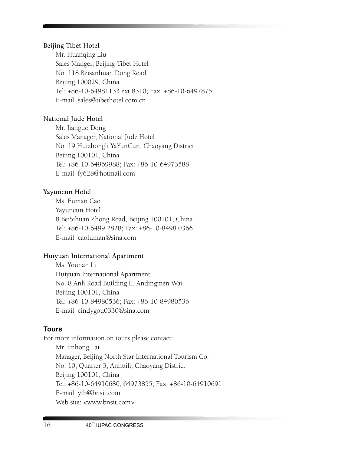#### Beijing Tibet Hotel

Mr. Huanqing Liu Sales Manger, Beijing Tibet Hotel No. 118 Beisanhuan Dong Road Beijing 100029, China Tel: +86-10-64981133 ext 8310; Fax: +86-10-64978751 E-mail: sales@tibethotel.com.cn

## National Jude Hotel

Mr. Jianguo Dong Sales Manager, National Jude Hotel No. 19 Huizhongli YaYunCun, Chaoyang District Beijing 100101, China Tel: +86-10-64969988; Fax: +86-10-64973588 E-mail: fy628@hotmail.com

### Yayuncun Hotel

Ms. Fuman Cao Yayuncun Hotel 8 BeiSihuan Zhong Road, Beijing 100101, China Tel: +86-10-6499 2828; Fax: +86-10-8498 0366 E-mail: caofuman@sina.com

### Huiyuan International Apartment

Ms. Younan Li Huiyuan International Apartment No. 8 Anli Road Building E. Andingmen Wai Beijing 100101, China Tel: +86-10-84980536; Fax: +86-10-84980536 E-mail: cindygou0330@sina.com

### **Tours**

For more information on tours please contact: Mr. Enhong Lai Manager, Beijing North Star International Tourism Co. No. 10, Quarter 3, Anhuili, Chaoyang District Beijing 100101, China Tel: +86-10-64910680, 64973855; Fax: +86-10-64910691 E-mail: ytb@bnsit.com Web site: <www.bnsit.com>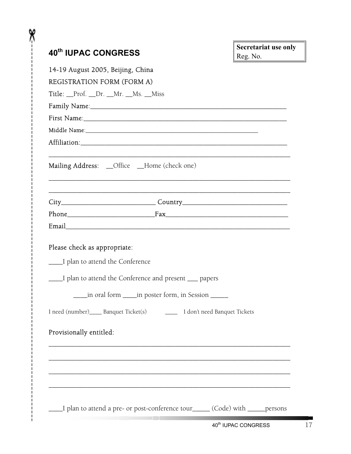| 40th IUPAC CONGRESS                                     |                                                                                                                                                                                                                                | <b>Secretariat use only</b> |
|---------------------------------------------------------|--------------------------------------------------------------------------------------------------------------------------------------------------------------------------------------------------------------------------------|-----------------------------|
| 14-19 August 2005, Beijing, China                       |                                                                                                                                                                                                                                | Reg. No.                    |
| REGISTRATION FORM (FORM A)                              |                                                                                                                                                                                                                                |                             |
| Title: Prof. _Dr. _Mr. _Ms. _Miss                       |                                                                                                                                                                                                                                |                             |
|                                                         |                                                                                                                                                                                                                                |                             |
|                                                         | First Name: 1000 and 2000 and 2000 and 2000 and 2000 and 2000 and 2000 and 2000 and 2000 and 2000 and 2000 and 2000 and 2000 and 2000 and 2000 and 2000 and 2000 and 2000 and 2000 and 2000 and 2000 and 2000 and 2000 and 200 |                             |
|                                                         | Middle Name: 1988 Manual Manual Middle Name: 1988 Middle Name: 1988 Middle Name: 1988 Middle Name: 1988 Middle                                                                                                                 |                             |
|                                                         |                                                                                                                                                                                                                                |                             |
|                                                         | Mailing Address: _Office _Home (check one)                                                                                                                                                                                     |                             |
|                                                         | City___________________________________Country__________________________________                                                                                                                                               |                             |
|                                                         |                                                                                                                                                                                                                                |                             |
|                                                         |                                                                                                                                                                                                                                |                             |
|                                                         |                                                                                                                                                                                                                                |                             |
| ____I plan to attend the Conference                     |                                                                                                                                                                                                                                |                             |
|                                                         | ____I plan to attend the Conference and present ___ papers                                                                                                                                                                     |                             |
|                                                         | in oral form _____in poster form, in Session ______                                                                                                                                                                            |                             |
|                                                         | I need (number)_____ Banquet Ticket(s) _________ I don't need Banquet Tickets                                                                                                                                                  |                             |
|                                                         |                                                                                                                                                                                                                                |                             |
|                                                         |                                                                                                                                                                                                                                |                             |
|                                                         |                                                                                                                                                                                                                                |                             |
| Please check as appropriate:<br>Provisionally entitled: |                                                                                                                                                                                                                                |                             |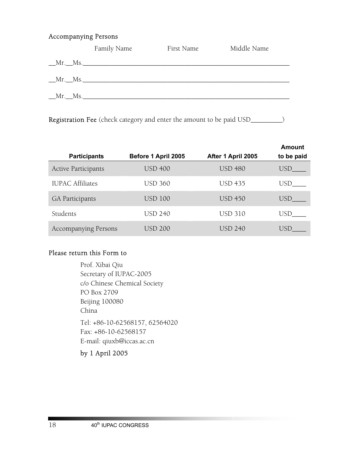#### Accompanying Persons

|           | Family Name | First Name | Middle Name |
|-----------|-------------|------------|-------------|
|           | $Mr.$ Ms.   |            |             |
| $Mr.$ Ms. |             |            |             |
| $Mr.$ Ms. |             |            |             |
|           |             |            |             |

Registration Fee (check category and enter the amount to be paid USD\_\_\_\_\_\_\_\_\_)

| <b>Participants</b>         | Before 1 April 2005 | After 1 April 2005 | Amount<br>to be paid |
|-----------------------------|---------------------|--------------------|----------------------|
| <b>Active Participants</b>  | <b>USD 400</b>      | <b>USD 480</b>     | USD                  |
| <b>IUPAC Affiliates</b>     | <b>USD 360</b>      | <b>USD 435</b>     | USD                  |
| <b>GA Participants</b>      | <b>USD 100</b>      | <b>USD 450</b>     | USD.                 |
| Students                    | <b>USD 240</b>      | <b>USD 310</b>     | USD                  |
| <b>Accompanying Persons</b> | <b>USD 200</b>      | USD 240            | USE                  |

## Please return this Form to

Prof. Xibai Qiu Secretary of IUPAC-2005 c/o Chinese Chemical Society PO Box 2709 Beijing 100080 China Tel: +86-10-62568157, 62564020 Fax: +86-10-62568157 E-mail: qiuxb@iccas.ac.cn

by 1 April 2005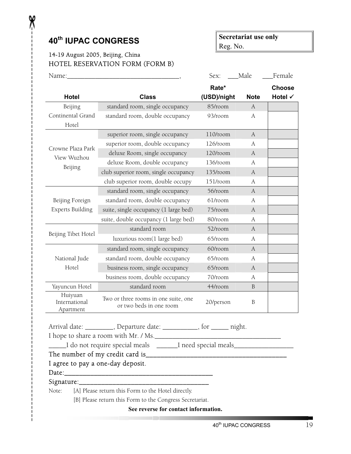## **40th IUPAC CONGRESS**

X

## **Secretariat use only**  Reg. No.

## 14-19 August 2005, Beijing, China HOTEL RESERVATION FORM (FORM B)

| Name:                                                                                                          |                                                                        | Sex:        | Male         | Female        |  |
|----------------------------------------------------------------------------------------------------------------|------------------------------------------------------------------------|-------------|--------------|---------------|--|
|                                                                                                                |                                                                        | Rate*       |              | <b>Choose</b> |  |
| <b>Hotel</b>                                                                                                   | <b>Class</b>                                                           | (USD)/night | <b>Note</b>  | Hotel √       |  |
| Beijing                                                                                                        | standard room, single occupancy                                        | 85/room     | A            |               |  |
| Continental Grand<br>Hotel                                                                                     | standard room, double occupancy                                        | 93/room     | A            |               |  |
|                                                                                                                | superior room, single occupancy                                        | $110$ /room | A            |               |  |
| Crowne Plaza Park<br>View Wuzhou                                                                               | superior room, double occupancy                                        | 126/room    | A            |               |  |
|                                                                                                                | deluxe Room, single occupancy                                          | 120/room    | A            |               |  |
| Beijing                                                                                                        | deluxe Room, double occupancy                                          | 136/room    | A            |               |  |
|                                                                                                                | club superior room, single occupancy                                   | 135/room    | A            |               |  |
|                                                                                                                | club superior room, double occupy                                      | 151/room    | A            |               |  |
|                                                                                                                | standard room, single occupancy                                        | 56/room     | A            |               |  |
| Beijing Foreign                                                                                                | standard room, double occupancy                                        | 61/room     | A            |               |  |
| <b>Experts Building</b>                                                                                        | suite, single occupancy (1 large bed)                                  | 75/room     | A            |               |  |
|                                                                                                                | suite, double occupancy (1 large bed)                                  | 80/room     | А            |               |  |
| Beijing Tibet Hotel                                                                                            | standard room                                                          | 52/room     | A            |               |  |
|                                                                                                                | luxurious room(1 large bed)                                            | 65/room     | A            |               |  |
|                                                                                                                | standard room, single occupancy                                        | 60/room     | A            |               |  |
| National Jude                                                                                                  | standard room, double occupancy                                        | 65/room     | A            |               |  |
| Hotel                                                                                                          | business room, single occupancy                                        | 65/room     | A            |               |  |
|                                                                                                                | business room, double occupancy                                        | 70/room     | A            |               |  |
| Yayuncun Hotel                                                                                                 | standard room                                                          | 44/room     | <sub>B</sub> |               |  |
| Huiyuan<br>International<br>Apartment                                                                          | Two or three rooms in one suite, one<br>or two beds in one room        | 20/person   | B            |               |  |
|                                                                                                                | Arrival date: _________, Departure date: ___________, for _____ night. |             |              |               |  |
|                                                                                                                |                                                                        |             |              |               |  |
| Land Theorem and Secondary Control of the special meals Land Theorem and Theorem and Theorem and Theorem and T |                                                                        |             |              |               |  |
|                                                                                                                |                                                                        |             |              |               |  |
| I agree to pay a one-day deposit.                                                                              |                                                                        |             |              |               |  |
|                                                                                                                |                                                                        |             |              |               |  |
| [A] Please return this Form to the Hotel directly.<br>Note:                                                    |                                                                        |             |              |               |  |
| [B] Please return this Form to the Congress Secretariat.                                                       |                                                                        |             |              |               |  |
|                                                                                                                |                                                                        |             |              |               |  |

**See reverse for contact information.**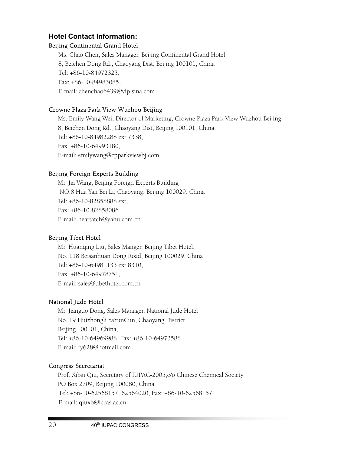## **Hotel Contact Information:**

## Beijing Continental Grand Hotel

Ms. Chao Chen, Sales Manager, Beijing Continental Grand Hotel 8, Beichen Dong Rd., Chaoyang Dist, Beijing 100101, China Tel: +86-10-84972323, Fax: +86-10-84983085, E-mail: chenchao6439@vip.sina.com

## Crowne Plaza Park View Wuzhou Beijing

Ms. Emily Wang Wei, Director of Marketing, Crowne Plaza Park View Wuzhou Beijing 8, Beichen Dong Rd., Chaoyang Dist, Beijing 100101, China Tel: +86-10-84982288 ext 7338, Fax: +86-10-64993180, E-mail: emilywang@cpparkviewbj.com

## Beijing Foreign Experts Building

Mr. Jia Wang, Beijing Foreign Experts Building NO.8 Hua Yan Bei Li, Chaoyang, Beijing 100029, China Tel: +86-10-82858888 ext, Fax: +86-10-82858086 E-mail: heartatch@yahu.com.cn

## Beijing Tibet Hotel

Mr. Huanqing Liu, Sales Manger, Beijing Tibet Hotel, No. 118 Beisanhuan Dong Road, Beijing 100029, China Tel: +86-10-64981133 ext 8310, Fax: +86-10-64978751, E-mail: sales@tibethotel.com.cn

## National Jude Hotel

Mr. Jianguo Dong, Sales Manager, National Jude Hotel No. 19 Huizhongli YaYunCun, Chaoyang District Beijing 100101, China, Tel: +86-10-64969988, Fax: +86-10-64973588 E-mail: fy628@hotmail.com

## Congress Secretariat

Prof. Xibai Qiu, Secretary of IUPAC-2005,c/o Chinese Chemical Society PO Box 2709, Beijing 100080, China Tel: +86-10-62568157, 62564020, Fax: +86-10-62568157 E-mail: qiuxb@iccas.ac.cn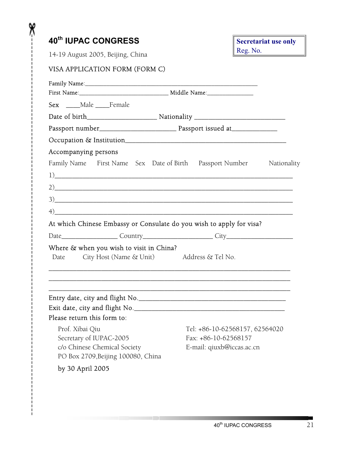| 40 <sup>th</sup> IUPAC CONGRESS<br>14-19 August 2005, Beijing, China                                      |  |                                                        |  | <b>Secretariat use only</b><br>Reg. No. |  |
|-----------------------------------------------------------------------------------------------------------|--|--------------------------------------------------------|--|-----------------------------------------|--|
|                                                                                                           |  |                                                        |  |                                         |  |
| VISA APPLICATION FORM (FORM C)                                                                            |  |                                                        |  |                                         |  |
|                                                                                                           |  |                                                        |  |                                         |  |
|                                                                                                           |  |                                                        |  |                                         |  |
| Sex ____Male ____Female                                                                                   |  |                                                        |  |                                         |  |
|                                                                                                           |  |                                                        |  |                                         |  |
|                                                                                                           |  |                                                        |  |                                         |  |
|                                                                                                           |  |                                                        |  |                                         |  |
| Accompanying persons                                                                                      |  |                                                        |  |                                         |  |
| Family Name First Name Sex Date of Birth Passport Number Nationality                                      |  |                                                        |  |                                         |  |
| 1)                                                                                                        |  |                                                        |  |                                         |  |
|                                                                                                           |  |                                                        |  |                                         |  |
|                                                                                                           |  |                                                        |  |                                         |  |
| 2)                                                                                                        |  |                                                        |  |                                         |  |
| 3)                                                                                                        |  |                                                        |  |                                         |  |
| $\left\langle \phi \right\rangle$<br>At which Chinese Embassy or Consulate do you wish to apply for visa? |  |                                                        |  |                                         |  |
|                                                                                                           |  |                                                        |  |                                         |  |
|                                                                                                           |  |                                                        |  |                                         |  |
| Where & when you wish to visit in China?<br>City Host (Name & Unit) Address & Tel No.<br>Date             |  |                                                        |  |                                         |  |
|                                                                                                           |  |                                                        |  |                                         |  |
|                                                                                                           |  |                                                        |  |                                         |  |
|                                                                                                           |  |                                                        |  |                                         |  |
|                                                                                                           |  |                                                        |  |                                         |  |
| Please return this form to:                                                                               |  |                                                        |  |                                         |  |
|                                                                                                           |  |                                                        |  |                                         |  |
| Prof. Xibai Qiu<br>Secretary of IUPAC-2005                                                                |  | Tel: +86-10-62568157, 62564020<br>Fax: +86-10-62568157 |  |                                         |  |
| c/o Chinese Chemical Society                                                                              |  | E-mail: qiuxb@iccas.ac.cn                              |  |                                         |  |

X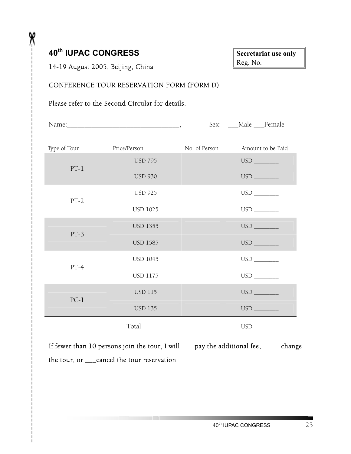## **40th IUPAC CONGRESS**

X

| <b>Secretariat use only</b> |  |
|-----------------------------|--|
| Reg. No.                    |  |

## 14-19 August 2005, Beijing, China

## CONFERENCE TOUR RESERVATION FORM (FORM D)

## Please refer to the Second Circular for details.

|              |                 |               | Sex: __Male __Female                   |
|--------------|-----------------|---------------|----------------------------------------|
|              |                 |               |                                        |
| Type of Tour | Price/Person    | No. of Person | Amount to be Paid                      |
| $PT-1$       | <b>USD 795</b>  |               |                                        |
|              | <b>USD 930</b>  |               |                                        |
| $PT-2$       | <b>USD 925</b>  |               |                                        |
|              | <b>USD 1025</b> |               |                                        |
| $PT-3$       | <b>USD 1355</b> |               |                                        |
|              | <b>USD 1585</b> |               |                                        |
| $PT-4$       | <b>USD 1045</b> |               |                                        |
|              | <b>USD 1175</b> |               |                                        |
| $PC-1$       | <b>USD 115</b>  |               |                                        |
|              | <b>USD 135</b>  |               |                                        |
|              | Total           |               | $\begin{tabular}{c} USD \end{tabular}$ |

If fewer than 10 persons join the tour, I will \_\_\_ pay the additional fee, \_\_\_ change the tour, or \_\_\_cancel the tour reservation.